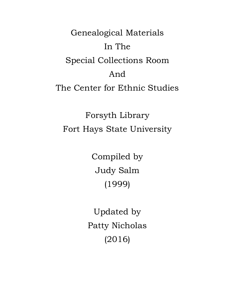Genealogical Materials In The Special Collections Room And The Center for Ethnic Studies

Forsyth Library Fort Hays State University

> Compiled by Judy Salm (1999)

Updated by Patty Nicholas (2016)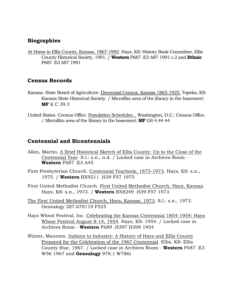### **Biographies**

At Home in Ellis County, Kansas, 1867-1992. Hays, KS: History Book Committee, Ellis County Historical Society, 1991. / **Western** F687 .E3 A87 1991 c.2 and **Ethnic** F687 .E3 A87 1991

## **Census Records**

- Kansas. State Board of Agriculture. Decennial Census. Kansas 1865-1925. Topeka, KS: Kansas State Historical Society. / Microfilm area of the library in the basement: **MF** K C 39.3
- United States. Census Office. Population Schedules... Washington, D.C.: Census Office. / Microfilm area of the library in the basement: **MF** GS 4.44 44

### **Centennial and Bicentennials**

- Allen, Martin. A Brief Historical Sketch of Ellis County: Up to the Close of the Centennial Year. S.l.: s.n., n.d. / Locked case in Archives Room - **Western** F687 .E3 A45
- First Presbyterian Church. Centennial Yearbook, 1873-1973. Hays, KS: s.n., 1975. / **Western** BX9211 .H39 F57 1975
- First United Methodist Church. First United Methodist Church, Hays, Kansas. Hays, KS: s.n., 1973. / **Western** BX8249 .H39 F57 1973
- The First United Methodist Church, Hays, Kansas. 1973. S.l.: s.n., 1973. Genealogy 287.678119 F525
- Hays Wheat Festival, Inc. Celebrating the Kansas Centennial 1854-1954: Hays Wheat Festival August 8-14, 1954. Hays, KS: 1954. / Locked case in Archives Room - **Western** F689 .H397 H398 1954
- Winter, Maureen. Indians to Industry: A History of Hays and Ellis County Prepared for the Celebration of the 1967 Centennial. Ellis, KS: Ellis County Star, 1967. / Locked case in Archives Room - **Western** F687 .E3 W56 1967 and **Genealogy** 978.1 W786i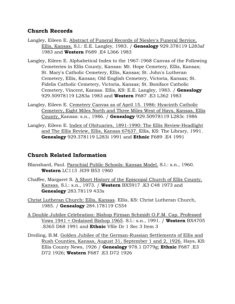### **Church Records**

- Langley, Eileen E. Abstract of Funeral Records of Niesley's Funeral Service, Ellis, Kansas. S.l.: E.E. Langley, 1983. / **Genealogy** 929.378119 L283af 1983 and **Western** F689 .E4 L366 1983
- Langley, Eileen E. Alphabetical Index to the 1967-1968 Canvas of the Following Cemeteries in Ellis County, Kansas: Mt. Hope Cemetery, Ellis, Kansas; St. Mary's Catholic Cemetery, Ellis, Kansas; St. John's Lutheran Cemetery, Ellis, Kansas; Old English Cemetery, Victoria, Kansas; St. Fidelis Catholic Cemetery, Victoria, Kansas; St. Boniface Catholic Cemetery, Vincent, Kansas. Ellis, KS: E.E. Langley, 1983. / **Genealogy** 929.50978119 L283a 1983 and **Western** F687 .E3 L362 1983
- Langley, Eileen E. Cemetery Canvas as of April 15. 1986: Hyacinth Catholic Cemetery, Eight Miles North and Three Miles West of Hays, Kansas, Ellis County. Kansas: s.n., 1986. / **Genealogy** 929.50978119 L283c 1986
- Langley, Eileen E. Index of Obituaries, 1891-1990: The Ellis Review-Headlight and The Ellis Review, Ellis, Kansas 67637. Ellis, KS: The Library, 1991. **Genealogy** 929.378119 L283i 1991 and **Ethnic** F689 .E4 1991

## **Church Related Information**

- Blanshard, Paul. Parochial Public Schools: Kansas Model. S.l.: s.n., 1960. **Western** LC113 .H39 B53 1960
- Chaffee, Margaret S. A Short History of the Episcopal Church of Ellis County. Kansas. S.l.: s.n., 1973. / **Western** BX5917 .K3 C48 1973 and **Genealogy** 283.78119 433s
- Christ Lutheran Church: Ellis, Kansas. Ellis, KS: Christ Lutheran Church, 1985. / **Genealogy** 284.178119 C554
- A Double Jubilee Celebration: Bishop Firman Schmidt O.F.M. Cap. Professed Vows 1941 + Ordained Bishop 1965. S.l.: s.n., 1991. / **Western** BX4705 .S365 D68 1991 and **Ethnic** Vfile Dr 1 Sec 3 Item 3
- Dreiling, B.M. Golden Jubilee of the German-Russian Settlements of Ellis and Rush Counties, Kansas, August 31, September 1 and 2, 1926. Hays, KS: Ellis County News, 1926 / **Genealogy** 978.1 D779g; **Ethnic** F687 .E3 D72 1926; **Western** F687 .E3 D72 1926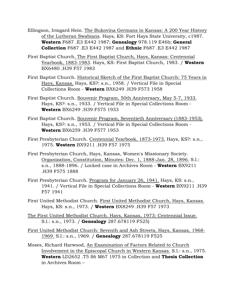Ellingson, Irmgard Hein. The Bukovina Germans in Kansas: A 200 Year History of the Lutheran Swabians. Hays, KS: Fort Hays State University, c1987. **Western** F687 .E3 E442 1987; **Genealogy** 978.119 E46b; **General Collection** F687 .E3 E442 1987 and **Ethnic** F687 .E3 E442 1987

- First Baptist Church. The First Baptist Church, Hays, Kansas: Centennial Yearbook, 1883-1983. Hays, KS: First Baptist Church, 1983. / **Western** BX6480 .H39 F57 1983
- First Baptist Church. Historical Sketch of the First Baptist Church: 75 Years in Hays, Kansas. Hays, KS?: s.n., 1958. / Vertical File in Special Collections Room - **Western** BX6249 .H39 F573 1958
- First Baptist Church. Souvenir Program, 50th Anniversary, May 5-7, 1933. Hays, KS?: s.n., 1933. / Vertical File in Special Collections Room - **Western** BX6249 .H39 F575 1933
- First Baptist Church. Souvenir Program, Seventieth Anniversary (1883-1953). Hays, KS?: s.n., 1953. / Vertical File in Special Collections Room - **Western** BX6259 .H39 F577 1953
- First Presbyterian Church. Centennial Yearbook, 1873-1973. Hays, KS?: s.n., 1975. **Western** BX9211 .H39 F57 1975
- First Presbyterian Church, Hays, Kansas, Women's Missionary Society. Organization, Constitution, Minutes: Dec. 1, 1888-Jan. 28, 1896. S.l.: s.n., 1888-1896. / Locked case in Archives Room - **Western** BX9211 .H39 F575 1888
- First Presbyterian Church. Program for January 26, 1941. Hays, KS: s.n., 1941. / Vertical File in Special Collections Room - **Western** BX9211 .H39 F57 1941
- First United Methodist Church. First United Methodist Church, Hays, Kansas. Hays, KS: s.n., 1973. / **Western** BX8249 .H39 F57 1973
- The First United Methodist Church. Hays, Kansas, 1973: Centennial Issue. S.l.: s.n., 1973. / **Genealogy** 287.678119 F525)
- First United Methodist Church: Seventh and Ash Streets, Hays, Kansas, 1968- 1969. S.l.: s.n., 1969. / **Genealogy** 287.678119 F525
- Moses, Richard Harwood, An Examination of Factors Related to Church Involvement in the Episcopal Church in Western Kansas. S.l.: s.n., 1975. **Western** LD2652 .T5 S6 M67 1975 in Collection and **Thesis Collection** in Archives Room –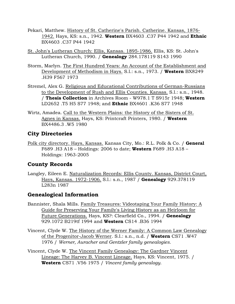- Pekari, Matthew. History of St. Catherine's Parish. Catherine. Kansas, 1876- 1942. Hays, KS: s.n., 1942. **Western** BX4603 .C37 P44 1942 and **Ethnic** BX4603 .C37 P44 1942
- St. John's Lutheran Church: Ellis, Kansas. 1895-1986. Ellis, KS: St. John's Lutheran Church, 1990. / **Genealogy** 284.178119 S143 1990
- Storm, Marlyn. The First Hundred Years: An Account of the Establishment and Development of Methodism in Hays. S.l.: s.n., 1973. / **Western** BX8249 .H39 F567 1973
- Stremel, Alex G. Religious and Educational Contributions of German-Russians to the Development of Rush and Ellis Counties. Kansas. S.l.: s.n., 1948. / **Thesis Collection** in Archives Room - W978.1 T S915r 1948; **Western** LD2652 .T5 H5 S77 1948; and **Ethnic** BX4601 .K36 S77 1948
- Wirtz, Amadea. Call to the Western Plains: the History of the Sisters of St. Agnes in Kansas. Hays, KS: Printcraft Printers, 1980. / **Western** BX4486.3 .W5 1980

# **City Directories**

Polk city directory. Hays, Kansas. Kansas City, Mo.: R.L. Polk & Co. / **General** F689 .H3 A18 – Holdings: 2006 to date; **Western** F689 .H3 A18 – Holdings: 1963-2005

# **County Records**

Langley, Eileen E. Naturalization Records: Ellis County. Kansas, District Court, Hays, Kansas. 1972-1906. S.l.: s.n., 1987 / **Genealogy** 929.378119 L283n 1987

# **Genealogical Information**

- Bannister, Shala Mills. Family Treasures: Videotaping Your Family History: A Guide for Preserving Your Family's Living History as an Heirloom for Future Generations. Hays, KS?: Clearfield Co., 1994. / **Genealogy** 929.1072 B219tf 1994 and **Western** CS14 .B36 1994
- Vincent, Clyde W. The History of the Werner Family: A Common Law Genealogy of the Progenitor-Jacob Werner. S.l.: s.n., n.d. / **Western** CS71 .W47 1976 / *Werner, Auracher and Gentzler family genealogies.*
- Vincent, Clyde W. The Vincent Family Genealogy: The Gardner Vincent Lineage: The Harvey B. Vincent Lineage. Hays, KS: Vincent, 1975. / **Western** CS71 .V56 1975 / *Vincent family genealogy.*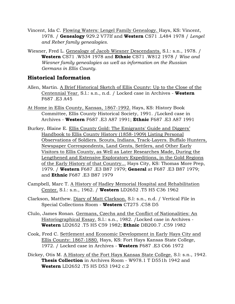- Vincent, Ida C. Flowing Waters: Lengel Family Genealogy. Hays, KS: Vincent, 1978. / **Genealogy** 929.2 V77If and **Western** CS71 .L484 1978 / *Lengel and Reber family genealogies.*
- Wiesner, Fred L. Genealogy of Jacob Wiesner Descendants. S.l.: s.n., 1978. / **Western** CS71 .W534 1978 and **Ethnic** CS71 .W812 1978 / *Wise and Wiesner family genealogies as well as information on the Russian Germans in Ellis County.*

## **Historical Information**

- Allen, Martin. A Brief Historical Sketch of Ellis County: Up to the Close of the Centennial Year. S.l.: s.n., n.d. / Locked case in Archives - **Western** F687 .E3 A45
- At Home in Ellis County, Kansas, 1867-1992. Hays, KS: History Book Committee, Ellis County Historical Society, 1991. /Locked case in Archives - **Western** F687 .E3 A87 1991; **Ethnic** F687 .E3 A87 1991
- Burkey, Blaine E. Ellis County Gold: The Emigrants' Guide and Diggers' Handbook to Ellis County History (1858-1909) Listing Personal Observations of Soldiers. Scouts, Indians, Track-Layers. Buffalo Hunters, Newspaper Correspondents, Land Gents, Settlers, and Other Early Visitors to Ellis County, as Well as Later Researches Made, During the Lengthened and Extensive Exploratory Expeditions, in the Gold Regions of the Early History of that Country... Hays City, KS: Thomas More Prep, 1979. / **Western** F687 .E3 B87 1979; **General** at F687 .E3 B87 1979; and **Ethnic** F687 .E3 B87 1979
- Campbell, Marc T. A History of Hadley Memorial Hospital and Rehabilitation Center. S.l.: s.n., 1962. / **Western** LD2652 .T5 H5 C36 1962
- Clarkson, Matthew. Diary of Matt Clarkson. S.l: s.n., n.d. / Vertical File in Special Collections Room - **Western** CT275 .C58 D5
- Clulo, James Ronan. Germans, Czechs and the Conflict of Nationalities: An Historiographical Essay. S.l.: s.n., 1982. /Locked case in Archives - **Western** LD2652 .T5 H5 C59 1982; **Ethnic** DB200.7 .C59 1982
- Cook, Fred C. Settlement and Economic Development in Early Hays City and Ellis County: 1867-1880. Hays, KS: Fort Hays Kansas State College, 1972. / Locked case in Archives - **Western** F687 .E3 C66 1972
- Dickey, Otis M. A History of the Fort Hays Kansas State College. S.l: s.n., 1942. **Thesis Collection** in Archives Room - W978.1 T D551h 1942 and **Western** LD2652 .T5 H5 D53 1942 c.2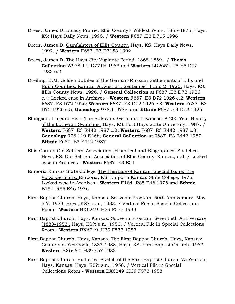- Drees, James D. Bloody Prairie: Ellis County's Wildest Years. 1865-1875. Hays, KS: Hays Daily News, 1996. / **Western** F687 .E3 D715 1996
- Drees, James D. Gunfighters of Ellis County. Hays, KS: Hays Daily News, 1992. / **Western** F687 .E3 D7153 1992
- Drees, James D. The Hays City Vigilante Period. 1868-1869. / **Thesis Collection** W97S.1 T D771H 1983 and **Western** LD2652 .T5 H5 D77 1983 c.2
- Dreiling, B.M. Golden Jubilee of the German-Russian Settlements of Ellis and Rush Counties, Kansas. August 31, September 1 and 2, 1926. Hays, KS: Ellis County News, 1926. / **General Collection** at F687 .E3 D72 1926 c.4; Locked case in Archives - **Western** F687 .E3 D72 1926 c.2; **Western** F687 .E3 D72 1926; **Western** F687 .E3 D72 1926 c.3; **Western** F687 .E3 D72 1926 c.5; **Genealogy** 978.1 D77g; and **Ethnic** F687 .E3 D72 1926
- Ellingson, Irmgard Hein. The Bukovina Germans in Kansas: A 200 Year History of the Lutheran Swabians. Hays, KS: Fort Hays State University, 1987. / **Western** F687 .E3 E442 1987 c.2; **Western** F687 .E3 E442 1987 c.3; **Genealogy** 978.119 E46b; **General Collection** at F687 .E3 E442 1987; **Ethnic** F687 .E3 E442 1987
- Ellis County Old Settlers' Association. Historical and Biographical Sketches. Hays, KS: Old Settlers' Association of Ellis County, Kansas, n.d. / Locked case in Archives - **Western** F687 .E3 E54
- Emporia Kansas State College. The Heritage of Kansas. Special Issue; The Volga Germans. Emporia, KS: Emporia Kansas State College, 1976. Locked case in Archives - **Western** E184 .R85 E46 1976 and **Ethnic** E184 .R85 E46 1976
- First Baptist Church, Hays, Kansas. Souvenir Program. 50th Anniversary. May 5-7, 1933. Hays, KS?: s.n., 1933. / Vertical File in Special Collections Room - **Western** BX6249 .H39 F575 1933
- First Baptist Church, Hays, Kansas. Souvenir Program, Seventieth Anniversary (1883-1953). Hays, KS?: s.n., 1953. / Vertical File in Special Collections Room - **Western** BX6249 .H39 F577 1953
- First Baptist Church, Hays, Kansas. The First Baptist Church. Hays, Kansas: Centennial Yearbook, 1883-1983. Hays, KS: First Baptist Church, 1983. **Western** BX6480 .H39 F57 1983
- First Baptist Church. Historical Sketch of the First Baptist Church: 75 Years in Hays, Kansas. Hays, KS?: s.n., 1958. / Vertical File in Special Collections Room - **Western** BX6249 .H39 F573 1958